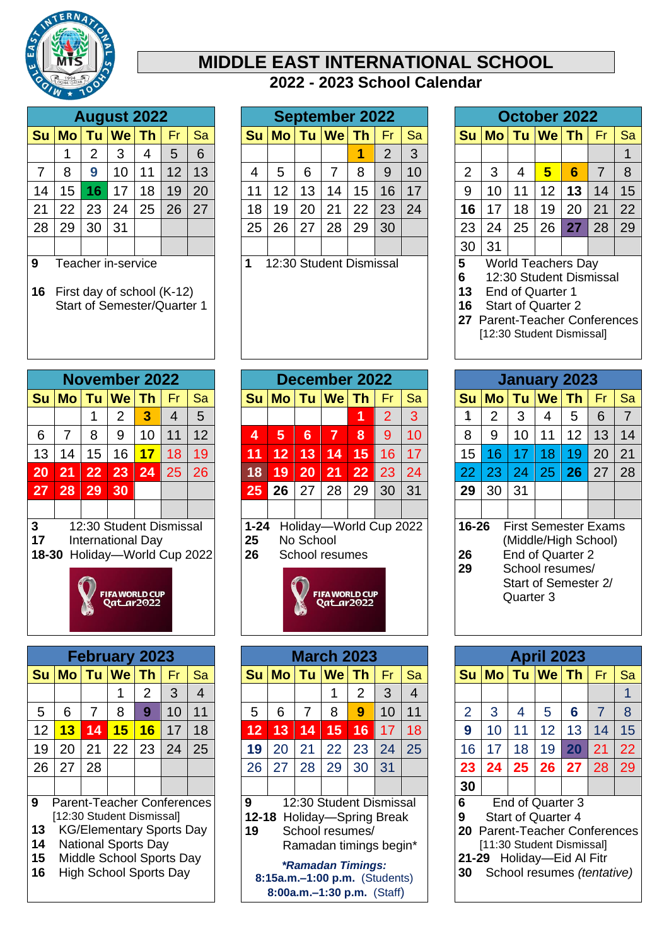

## **MIDDLE EAST INTERNATIONAL SCHOOL - 2023 School Calendar**

|                |    |                | <b>August 2022</b> |    |    |    |
|----------------|----|----------------|--------------------|----|----|----|
| Su             |    |                | Mo Tu We Th        |    | Fr | Sa |
|                |    | $\overline{2}$ | 3                  | 4  | 5  | 6  |
| $\overline{7}$ | 8  | 9              | 10                 | 11 | 12 | 13 |
| 14             | 15 | 16             | 17                 | 18 | 19 | 20 |
| 21             | 22 | 23             | 24                 | 25 | 26 | 27 |
| 28             | 29 | 30             | 31                 |    |    |    |
|                |    |                |                    |    |    |    |

- Teacher in-service
- First day of school (K-12) Start of Semester/Quarter 1

| <b>November 2022</b>                                                                              |                 |           |                |    |                |    |  |  |  |  |
|---------------------------------------------------------------------------------------------------|-----------------|-----------|----------------|----|----------------|----|--|--|--|--|
| <b>Su</b>                                                                                         | <b>Mo</b>       | <b>Tu</b> | $We$ Th        |    | Fr             | Sa |  |  |  |  |
|                                                                                                   |                 | 1         | $\overline{2}$ | 3  | $\overline{4}$ | 5  |  |  |  |  |
| 6                                                                                                 | 7               | 8         | 9              | 10 | 11             | 12 |  |  |  |  |
| 13                                                                                                | 14              | 15        | 16             | 17 | 18             | 19 |  |  |  |  |
| 20                                                                                                | $\overline{2}1$ | 22        | 23             | 24 | 25             | 26 |  |  |  |  |
| 27                                                                                                | 28              | 29        | 30             |    |                |    |  |  |  |  |
|                                                                                                   |                 |           |                |    |                |    |  |  |  |  |
| 3<br>12:30 Student Dismissal<br>17<br><b>International Day</b><br>Holiday-World Cup 2022<br>18-30 |                 |           |                |    |                |    |  |  |  |  |



|    |                                   |           | <b>February 2023</b>            |                |    |                |  |  |  |
|----|-----------------------------------|-----------|---------------------------------|----------------|----|----------------|--|--|--|
| Su | <b>Mo</b>                         | <b>Tu</b> | <b>We</b>                       | Th             | Fr | Sa             |  |  |  |
|    |                                   |           | 1                               | $\overline{2}$ | 3  | $\overline{4}$ |  |  |  |
| 5  | 6                                 | 7         | 8                               | 9              | 10 | 11             |  |  |  |
| 12 | 13                                | 14        | 15                              | 16             | 17 | 18             |  |  |  |
| 19 | 20                                | 21        | 22                              | 23             | 24 | 25             |  |  |  |
| 26 | 27                                | 28        |                                 |                |    |                |  |  |  |
|    |                                   |           |                                 |                |    |                |  |  |  |
| 9  | <b>Parent-Teacher Conferences</b> |           |                                 |                |    |                |  |  |  |
|    | [12:30 Student Dismissal]         |           |                                 |                |    |                |  |  |  |
| 13 |                                   |           | <b>KG/Elementary Sports Day</b> |                |    |                |  |  |  |
| 14 |                                   |           | <b>National Sports Day</b>      |                |    |                |  |  |  |
| 15 |                                   |           | Middle School Sports Day        |                |    |                |  |  |  |
| 16 | <b>High School Sports Day</b>     |           |                                 |                |    |                |  |  |  |

|    |                |    | <b>August 2022</b> |           |    |    |    |       |    | <b>September 2022</b> |           |    |    |                |                |    |    | October 2022 |    |    |
|----|----------------|----|--------------------|-----------|----|----|----|-------|----|-----------------------|-----------|----|----|----------------|----------------|----|----|--------------|----|----|
| Su | M <sub>O</sub> | Tu | <b>We</b>          | <b>Th</b> | Fr | Sa |    | Su Mo | Tu | $ \mathsf{We} $       | <b>Th</b> | Fr | Sa | Su l           | M <sub>O</sub> | Tu |    | ∣We⊺Th⊹      | Fr | Sa |
|    |                | 2  | 3                  | 4         | 5  | 6  |    |       |    |                       |           | C  | 3  |                |                |    |    |              |    |    |
|    | 8              | 9  | 10 <sup>°</sup>    | 11        | 12 | 13 | 4  | 5     | 6  |                       | 8         | 9  | 10 | $\overline{2}$ | 3              | 4  | 5  | 6            | 7  | 8  |
| 14 | 15             | 16 | 17                 | 18        | 19 | 20 | 11 | 12    | 13 | 14                    | 15        | 16 | 17 | 9              | 10             | 11 | 12 | 13           | 14 | 15 |
| 21 | 22             | 23 | 24                 | 25        | 26 | 27 | 18 | 19    | 20 | 21                    | 22        | 23 | 24 | 16             | 17             | 18 | 19 | 20           | 21 | 22 |
| 28 | 29             | 30 | 31                 |           |    |    | 25 | 26    | 27 | 28                    | 29        | 30 |    | 23             | 24             | 25 | 26 |              | 28 | 29 |
|    |                |    |                    |           |    |    |    |       |    |                       |           |    |    | 30             | 31             |    |    |              |    |    |

1 12:30 Student Dismissal **1 12:30 Student Dismissal <b>1 6** 12:30 Student Dismis

|             |                |           | November 2022                                           |           |     |                        |
|-------------|----------------|-----------|---------------------------------------------------------|-----------|-----|------------------------|
| <b>Su</b>   | M <sub>o</sub> | <b>Tu</b> | <b>We</b>                                               | <b>Th</b> | Fr. | Sa                     |
|             |                |           | $\overline{2}$                                          | 3         | 4   | 5                      |
| 6           | 7              | 8         | 9                                                       | 10        | 11  | 12                     |
| 13          | 14             | 15        | 16                                                      | 17        | 18  | 19                     |
| 20          | 21             | 22        | 23                                                      | 24        | 25  | 26                     |
| 27          | 28             | 29        | 30                                                      |           |     |                        |
|             |                |           |                                                         |           |     |                        |
| 17<br>18-30 |                |           | International Day<br><b>FIFA WORLD CUP</b><br>Qatar2022 |           |     | Holiday-World Cup 2022 |
|             |                |           | <b>February 2023</b>                                    |           |     |                        |
| Su          | <b>Mo</b>      | Tu        | <b>We</b>                                               | <b>Th</b> | Fr. | Sa                     |

| Su                        | M <sub>o</sub>                                                                                                                                                                               | Tu | <b>We</b> | Th | Fr. | Sa      |    | Su Mo | Tu                                                                                                                                                                                                      | <b>We</b> | Th | Fr | <b>Sa</b>          |    | $Su$ $Mo$ | Tu                                                                                                                                                                  | $ \mathsf{We} \mathsf{Th} $ |    | <b>Fr</b> | Sa |
|---------------------------|----------------------------------------------------------------------------------------------------------------------------------------------------------------------------------------------|----|-----------|----|-----|---------|----|-------|---------------------------------------------------------------------------------------------------------------------------------------------------------------------------------------------------------|-----------|----|----|--------------------|----|-----------|---------------------------------------------------------------------------------------------------------------------------------------------------------------------|-----------------------------|----|-----------|----|
|                           |                                                                                                                                                                                              |    |           | 2  | 3   | 4       |    |       |                                                                                                                                                                                                         |           | 2  | 3  | 4                  |    |           |                                                                                                                                                                     |                             |    |           |    |
| 5                         | 6                                                                                                                                                                                            |    | 8         | 9  | 10  | 11      | 5  | 6     | 7                                                                                                                                                                                                       | 8         | 9  | 10 | 11                 | 2  | 3         | 4                                                                                                                                                                   | 5                           | 6  |           | 8  |
| 12 <sup>2</sup>           | 13                                                                                                                                                                                           | 14 | 15        | 16 | 17  | 18      | 12 | 13    | 14                                                                                                                                                                                                      | 15        | 16 | 17 | 18                 | 9  | 10        | 11                                                                                                                                                                  | 12                          | 13 | 14        | 15 |
| 19                        | 20                                                                                                                                                                                           | 21 | 22        | 23 | 24  | 25      | 19 | 20    | 21                                                                                                                                                                                                      | 22        | 23 | 24 | 25                 | 16 | 17        | 18                                                                                                                                                                  | 19                          | 20 | 21        | 22 |
| 26                        | 27                                                                                                                                                                                           | 28 |           |    |     |         | 26 | 27    | 28                                                                                                                                                                                                      | 29        | 30 | 31 |                    | 23 | 24        | 25                                                                                                                                                                  | 26                          | 27 | 28        | 29 |
|                           |                                                                                                                                                                                              |    |           |    |     |         |    |       |                                                                                                                                                                                                         |           |    |    |                    | 30 |           |                                                                                                                                                                     |                             |    |           |    |
| 9<br>13<br>14<br>15<br>16 | <b>Parent-Teacher Conferences</b><br>[12:30 Student Dismissal]<br><b>KG/Elementary Sports Day</b><br><b>National Sports Day</b><br>Middle School Sports Day<br><b>High School Sports Day</b> |    |           |    |     | 9<br>19 |    |       | 12:30 Student Dismissal<br>12-18 Holiday-Spring Break<br>School resumes/<br>Ramadan timings begin*<br><i><b>*Ramadan Timings:</b></i><br>8:15a.m.-1:00 p.m. (Students)<br>8:00a.m. $-1:30$ p.m. (Staff) |           |    |    | 6<br>9<br>20<br>30 |    |           | End of Quarter 3<br><b>Start of Quarter 4</b><br>Parent-Teacher Conferences<br>[11:30 Student Dismissal]<br>21-29 Holiday-Eid Al Fitr<br>School resumes (tentative) |                             |    |           |    |

|                |    | October 2022   |                 |                 |    |    |
|----------------|----|----------------|-----------------|-----------------|----|----|
| Su             |    | Mo Tu We Th Fr |                 |                 |    | Sa |
|                |    |                |                 |                 |    |    |
| $\overline{2}$ | 3  | $\overline{4}$ | $5\overline{5}$ | $6\phantom{1}6$ | 7  | 8  |
| 9              | 10 | 11             | 12 <sub>2</sub> | 13              | 14 | 15 |
| 16             | 17 | 18             | 19              | 20              | 21 | 22 |
| 23             | 24 | 25             | 26              | 27              | 28 | 29 |
| 30             | 31 |                |                 |                 |    |    |

- 
- 12:30 Student Dismissal
- End of Quarter 1
- Start of Quarter 2
- Parent-Teacher Conferences [12:30 Student Dismissal]

| <b>Mo</b> | Tu | <b>We</b> | <b>Th</b> | Fr | Sa                                                                                                                                        |
|-----------|----|-----------|-----------|----|-------------------------------------------------------------------------------------------------------------------------------------------|
| 2         | 3  | 4         | 5         | 6  | 7                                                                                                                                         |
| 9         | 10 | 11        | 12        | 13 | 14                                                                                                                                        |
| 16        | 17 | 18        | 19        | 20 | 21                                                                                                                                        |
| 23        | 24 | 25        | 26        | 27 | 28                                                                                                                                        |
| 30        | 31 |           |           |    |                                                                                                                                           |
|           |    |           |           |    |                                                                                                                                           |
| 16-26     |    |           |           |    |                                                                                                                                           |
|           |    |           | Quarter 3 |    | January 2023<br><b>First Semester Exams</b><br>(Middle/High School)<br><b>End of Quarter 2</b><br>School resumes/<br>Start of Semester 2/ |

|                |                                   |    | <b>April 2023</b>          |    |                |    |
|----------------|-----------------------------------|----|----------------------------|----|----------------|----|
| <b>Su</b>      | <b>Mo</b>                         |    | Tu   We   Th               |    | Fr             | Sa |
|                |                                   |    |                            |    |                | 1  |
| $\overline{2}$ | 3                                 | 4  | 5                          | 6  | $\overline{7}$ | 8  |
| 9              | 10                                | 11 | 12                         | 13 | 14             | 15 |
| 16             | 17                                | 18 | 19                         | 20 | 21             | 22 |
| 23             | 24                                | 25 | 27                         | 28 | 29             |    |
| 30             |                                   |    |                            |    |                |    |
| 6              |                                   |    | End of Quarter 3           |    |                |    |
| 9              |                                   |    | <b>Start of Quarter 4</b>  |    |                |    |
| 20             | <b>Parent-Teacher Conferences</b> |    |                            |    |                |    |
|                | [11:30 Student Dismissal]         |    |                            |    |                |    |
| $21 - 29$      |                                   |    | Holiday-Eid Al Fitr        |    |                |    |
| 30             |                                   |    | School resumes (tentative) |    |                |    |
|                |                                   |    |                            |    |                |    |